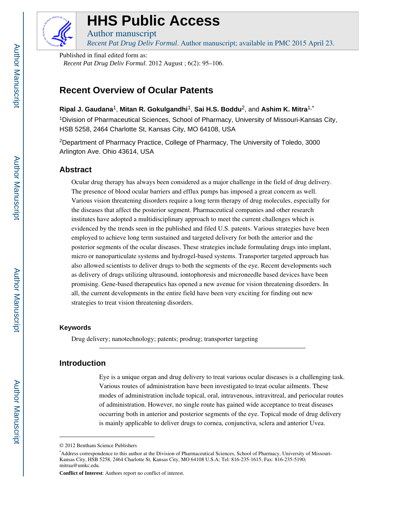

# **HHS Public Access**

Author manuscript

*Recent Pat Drug Deliv Formul*. Author manuscript; available in PMC 2015 April 23.

Published in final edited form as: *Recent Pat Drug Deliv Formul*. 2012 August ; 6(2): 95–106.

## **Recent Overview of Ocular Patents**

**Ripal J. Gaudana**1, **Mitan R. Gokulgandhi**1, **Sai H.S. Boddu**2, and **Ashim K. Mitra**1,\* <sup>1</sup>Division of Pharmaceutical Sciences, School of Pharmacy, University of Missouri-Kansas City, HSB 5258, 2464 Charlotte St, Kansas City, MO 64108, USA

<sup>2</sup>Department of Pharmacy Practice, College of Pharmacy, The University of Toledo, 3000 Arlington Ave. Ohio 43614, USA

### **Abstract**

Ocular drug therapy has always been considered as a major challenge in the field of drug delivery. The presence of blood ocular barriers and efflux pumps has imposed a great concern as well. Various vision threatening disorders require a long term therapy of drug molecules, especially for the diseases that affect the posterior segment. Pharmaceutical companies and other research institutes have adopted a multidisciplinary approach to meet the current challenges which is evidenced by the trends seen in the published and filed U.S. patents. Various strategies have been employed to achieve long term sustained and targeted delivery for both the anterior and the posterior segments of the ocular diseases. These strategies include formulating drugs into implant, micro or nanoparticulate systems and hydrogel-based systems. Transporter targeted approach has also allowed scientists to deliver drugs to both the segments of the eye. Recent developments such as delivery of drugs utilizing ultrasound, iontophoresis and microneedle based devices have been promising. Gene-based therapeutics has opened a new avenue for vision threatening disorders. In all, the current developments in the entire field have been very exciting for finding out new strategies to treat vision threatening disorders.

#### **Keywords**

Drug delivery; nanotechnology; patents; prodrug; transporter targeting

#### **Introduction**

Eye is a unique organ and drug delivery to treat various ocular diseases is a challenging task. Various routes of administration have been investigated to treat ocular ailments. These modes of administration include topical, oral, intravenous, intravitreal, and periocular routes of administration. However, no single route has gained wide acceptance to treat diseases occurring both in anterior and posterior segments of the eye. Topical mode of drug delivery is mainly applicable to deliver drugs to cornea, conjunctiva, sclera and anterior Uvea.

<sup>© 2012</sup> Bentham Science Publishers

<sup>\*</sup>Address correspondence to this author at the Division of Pharmaceutical Sciences, School of Pharmacy, University of Missouri-Kansas City, HSB 5258, 2464 Charlotte St, Kansas City, MO 64108 U.S.A; Tel: 816-235-1615; Fax: 816-235-5190; mitraa@umkc.edu.

**Conflict of Interest**: Authors report no conflict of interest.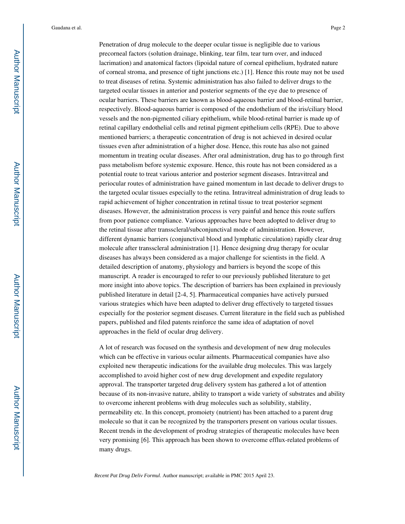Penetration of drug molecule to the deeper ocular tissue is negligible due to various precorneal factors (solution drainage, blinking, tear film, tear turn over, and induced lacrimation) and anatomical factors (lipoidal nature of corneal epithelium, hydrated nature of corneal stroma, and presence of tight junctions etc.) [1]. Hence this route may not be used to treat diseases of retina. Systemic administration has also failed to deliver drugs to the targeted ocular tissues in anterior and posterior segments of the eye due to presence of ocular barriers. These barriers are known as blood-aqueous barrier and blood-retinal barrier, respectively. Blood-aqueous barrier is composed of the endothelium of the iris/ciliary blood vessels and the non-pigmented ciliary epithelium, while blood-retinal barrier is made up of retinal capillary endothelial cells and retinal pigment epithelium cells (RPE). Due to above mentioned barriers; a therapeutic concentration of drug is not achieved in desired ocular tissues even after administration of a higher dose. Hence, this route has also not gained momentum in treating ocular diseases. After oral administration, drug has to go through first pass metabolism before systemic exposure. Hence, this route has not been considered as a potential route to treat various anterior and posterior segment diseases. Intravitreal and periocular routes of administration have gained momentum in last decade to deliver drugs to the targeted ocular tissues especially to the retina. Intravitreal administration of drug leads to rapid achievement of higher concentration in retinal tissue to treat posterior segment diseases. However, the administration process is very painful and hence this route suffers from poor patience compliance. Various approaches have been adopted to deliver drug to the retinal tissue after transscleral/subconjunctival mode of administration. However, different dynamic barriers (conjunctival blood and lymphatic circulation) rapidly clear drug molecule after transscleral administration [1]. Hence designing drug therapy for ocular diseases has always been considered as a major challenge for scientists in the field. A detailed description of anatomy, physiology and barriers is beyond the scope of this manuscript. A reader is encouraged to refer to our previously published literature to get more insight into above topics. The description of barriers has been explained in previously published literature in detail [2-4, 5]. Pharmaceutical companies have actively pursued various strategies which have been adapted to deliver drug effectively to targeted tissues especially for the posterior segment diseases. Current literature in the field such as published papers, published and filed patents reinforce the same idea of adaptation of novel approaches in the field of ocular drug delivery.

A lot of research was focused on the synthesis and development of new drug molecules which can be effective in various ocular ailments. Pharmaceutical companies have also exploited new therapeutic indications for the available drug molecules. This was largely accomplished to avoid higher cost of new drug development and expedite regulatory approval. The transporter targeted drug delivery system has gathered a lot of attention because of its non-invasive nature, ability to transport a wide variety of substrates and ability to overcome inherent problems with drug molecules such as solubility, stability, permeability etc. In this concept, promoiety (nutrient) has been attached to a parent drug molecule so that it can be recognized by the transporters present on various ocular tissues. Recent trends in the development of prodrug strategies of therapeutic molecules have been very promising [6]. This approach has been shown to overcome efflux-related problems of many drugs.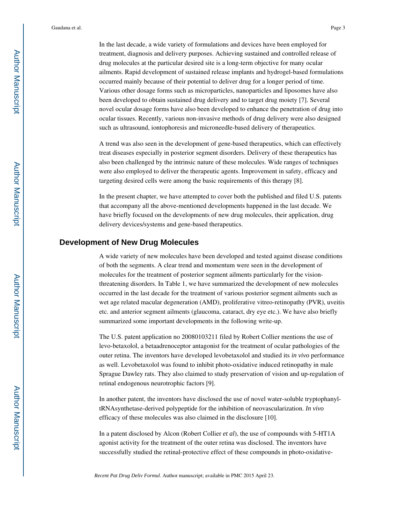In the last decade, a wide variety of formulations and devices have been employed for treatment, diagnosis and delivery purposes. Achieving sustained and controlled release of drug molecules at the particular desired site is a long-term objective for many ocular ailments. Rapid development of sustained release implants and hydrogel-based formulations occurred mainly because of their potential to deliver drug for a longer period of time. Various other dosage forms such as microparticles, nanoparticles and liposomes have also been developed to obtain sustained drug delivery and to target drug moiety [7]. Several novel ocular dosage forms have also been developed to enhance the penetration of drug into ocular tissues. Recently, various non-invasive methods of drug delivery were also designed such as ultrasound, iontophoresis and microneedle-based delivery of therapeutics.

A trend was also seen in the development of gene-based therapeutics, which can effectively treat diseases especially in posterior segment disorders. Delivery of these therapeutics has also been challenged by the intrinsic nature of these molecules. Wide ranges of techniques were also employed to deliver the therapeutic agents. Improvement in safety, efficacy and targeting desired cells were among the basic requirements of this therapy [8].

In the present chapter, we have attempted to cover both the published and filed U.S. patents that accompany all the above-mentioned developments happened in the last decade. We have briefly focused on the developments of new drug molecules, their application, drug delivery devices/systems and gene-based therapeutics.

#### **Development of New Drug Molecules**

A wide variety of new molecules have been developed and tested against disease conditions of both the segments. A clear trend and momentum were seen in the development of molecules for the treatment of posterior segment ailments particularly for the visionthreatening disorders. In Table 1, we have summarized the development of new molecules occurred in the last decade for the treatment of various posterior segment ailments such as wet age related macular degeneration (AMD), proliferative vitreo-retinopathy (PVR), uveitis etc. and anterior segment ailments (glaucoma, cataract, dry eye etc.). We have also briefly summarized some important developments in the following write-up.

The U.S. patent application no 20080103211 filed by Robert Collier mentions the use of levo-betaxolol, a betaadrenoceptor antagonist for the treatment of ocular pathologies of the outer retina. The inventors have developed levobetaxolol and studied its *in vivo* performance as well. Levobetaxolol was found to inhibit photo-oxidative induced retinopathy in male Sprague Dawley rats. They also claimed to study preservation of vision and up-regulation of retinal endogenous neurotrophic factors [9].

In another patent, the inventors have disclosed the use of novel water-soluble tryptophanyltRNAsynthetase-derived polypeptide for the inhibition of neovascularization. *In vivo*  efficacy of these molecules was also claimed in the disclosure [10].

In a patent disclosed by Alcon (Robert Collier *et al*), the use of compounds with 5-HT1A agonist activity for the treatment of the outer retina was disclosed. The inventors have successfully studied the retinal-protective effect of these compounds in photo-oxidative-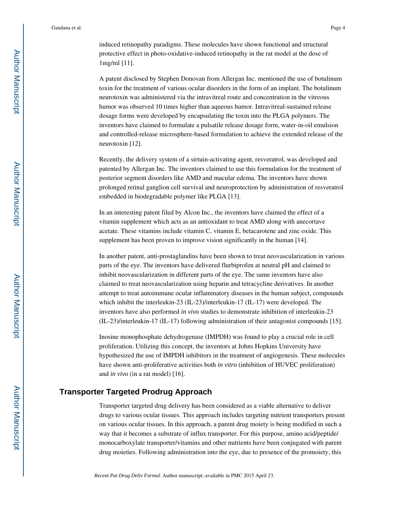induced retinopathy paradigms. These molecules have shown functional and structural protective effect in photo-oxidative-induced retinopathy in the rat model at the dose of 1mg/ml [11].

A patent disclosed by Stephen Donovan from Allergan Inc. mentioned the use of botulinum toxin for the treatment of various ocular disorders in the form of an implant. The botulinum neurotoxin was administered via the intravitreal route and concentration in the vitreous humor was observed 10 times higher than aqueous humor. Intravitreal-sustained release dosage forms were developed by encapsulating the toxin into the PLGA polymers. The inventors have claimed to formulate a pulsatile release dosage form, water-in-oil emulsion and controlled-release microsphere-based formulation to achieve the extended release of the neurotoxin [12].

Recently, the delivery system of a sirtuin-activating agent, resveratrol, was developed and patented by Allergan Inc. The inventors claimed to use this formulation for the treatment of posterior segment disorders like AMD and macular edema. The inventors have shown prolonged retinal ganglion cell survival and neuroprotection by administration of resveratrol embedded in biodegradable polymer like PLGA [13].

In an interesting patent filed by Alcon Inc., the inventors have claimed the effect of a vitamin supplement which acts as an antioxidant to treat AMD along with anecortave acetate. These vitamins include vitamin C, vitamin E, betacarotene and zinc oxide. This supplement has been proven to improve vision significantly in the human [14].

In another patent, anti-prostaglandins have been shown to treat neovascularization in various parts of the eye. The inventors have delivered flurbiprofen at neutral pH and claimed to inhibit neovascularization in different parts of the eye. The same inventors have also claimed to treat neovascularization using heparin and tetracycline derivatives. In another attempt to treat autoimmune ocular inflammatory diseases in the human subject, compounds which inhibit the interleukin-23 (IL-23)/interleukin-17 (IL-17) were developed. The inventors have also performed *in vivo* studies to demonstrate inhibition of interleukin-23 (IL-23)/interleukin-17 (IL-17) following administration of their antagonist compounds [15].

Inosine monophosphate dehydrogenase (IMPDH) was found to play a crucial role in cell proliferation. Utilizing this concept, the inventors at Johns Hopkins University have hypothesized the use of IMPDH inhibitors in the treatment of angiogenesis. These molecules have shown anti-proliferative activities both *in vitro* (inhibition of HUVEC proliferation) and *in vivo* (in a rat model) [16].

#### **Transporter Targeted Prodrug Approach**

Transporter targeted drug delivery has been considered as a viable alternative to deliver drugs to various ocular tissues. This approach includes targeting nutrient transporters present on various ocular tissues. In this approach, a parent drug moiety is being modified in such a way that it becomes a substrate of influx transporter. For this purpose, amino acid/peptide/ monocarboxylate transporter/vitamins and other nutrients have been conjugated with parent drug moieties. Following administration into the eye, due to presence of the promoiety, this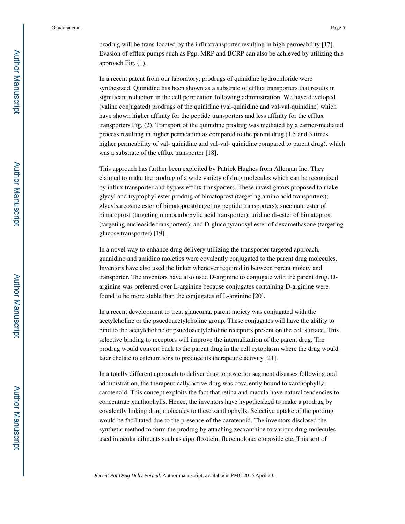prodrug will be trans-located by the influxtransporter resulting in high permeability [17]. Evasion of efflux pumps such as Pgp, MRP and BCRP can also be achieved by utilizing this approach Fig. (1).

In a recent patent from our laboratory, prodrugs of quinidine hydrochloride were synthesized. Quinidine has been shown as a substrate of efflux transporters that results in significant reduction in the cell permeation following administration. We have developed (valine conjugated) prodrugs of the quinidine (val-quinidine and val-val-quinidine) which have shown higher affinity for the peptide transporters and less affinity for the efflux transporters Fig. (2). Transport of the quinidine prodrug was mediated by a carrier-mediated process resulting in higher permeation as compared to the parent drug (1.5 and 3 times higher permeability of val- quinidine and val-val- quinidine compared to parent drug), which was a substrate of the efflux transporter [18].

This approach has further been exploited by Patrick Hughes from Allergan Inc. They claimed to make the prodrug of a wide variety of drug molecules which can be recognized by influx transporter and bypass efflux transporters. These investigators proposed to make glycyl and tryptophyl ester prodrug of bimatoprost (targeting amino acid transporters); glycylsarcosine ester of bimatoprost(targeting peptide transporters); succinate ester of bimatoprost (targeting monocarboxylic acid transporter); uridine di-ester of bimatoprost (targeting nucleoside transporters); and D-glucopyranosyl ester of dexamethasone (targeting glucose transporter) [19].

In a novel way to enhance drug delivery utilizing the transporter targeted approach, guanidino and amidino moieties were covalently conjugated to the parent drug molecules. Inventors have also used the linker whenever required in between parent moiety and transporter. The inventors have also used D-arginine to conjugate with the parent drug. Darginine was preferred over L-arginine because conjugates containing D-arginine were found to be more stable than the conjugates of L-arginine [20].

In a recent development to treat glaucoma, parent moiety was conjugated with the acetylcholine or the psuedoacetylcholine group. These conjugates will have the ability to bind to the acetylcholine or psuedoacetylcholine receptors present on the cell surface. This selective binding to receptors will improve the internalization of the parent drug. The prodrug would convert back to the parent drug in the cell cytoplasm where the drug would later chelate to calcium ions to produce its therapeutic activity [21].

In a totally different approach to deliver drug to posterior segment diseases following oral administration, the therapeutically active drug was covalently bound to xanthophyll,a carotenoid. This concept exploits the fact that retina and macula have natural tendencies to concentrate xanthophylls. Hence, the inventors have hypothesized to make a prodrug by covalently linking drug molecules to these xanthophylls. Selective uptake of the prodrug would be facilitated due to the presence of the carotenoid. The inventors disclosed the synthetic method to form the prodrug by attaching zeaxanthine to various drug molecules used in ocular ailments such as ciprofloxacin, fluocinolone, etoposide etc. This sort of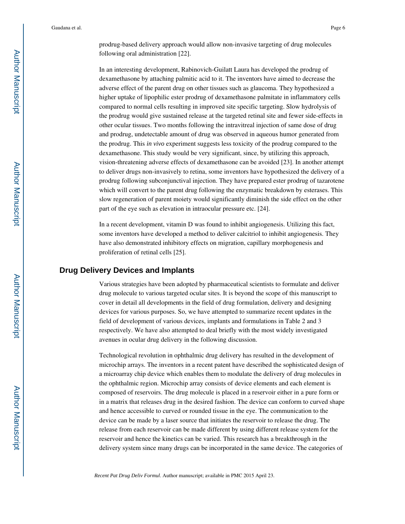prodrug-based delivery approach would allow non-invasive targeting of drug molecules following oral administration [22].

In an interesting development, Rabinovich-Guilatt Laura has developed the prodrug of dexamethasone by attaching palmitic acid to it. The inventors have aimed to decrease the adverse effect of the parent drug on other tissues such as glaucoma. They hypothesized a higher uptake of lipophilic ester prodrug of dexamethasone palmitate in inflammatory cells compared to normal cells resulting in improved site specific targeting. Slow hydrolysis of the prodrug would give sustained release at the targeted retinal site and fewer side-effects in other ocular tissues. Two months following the intravitreal injection of same dose of drug and prodrug, undetectable amount of drug was observed in aqueous humor generated from the prodrug. This *in vivo* experiment suggests less toxicity of the prodrug compared to the dexamethasone. This study would be very significant, since, by utilizing this approach, vision-threatening adverse effects of dexamethasone can be avoided [23]. In another attempt to deliver drugs non-invasively to retina, some inventors have hypothesized the delivery of a prodrug following subconjunctival injection. They have prepared ester prodrug of tazarotene which will convert to the parent drug following the enzymatic breakdown by esterases. This slow regeneration of parent moiety would significantly diminish the side effect on the other part of the eye such as elevation in intraocular pressure etc. [24].

In a recent development, vitamin D was found to inhibit angiogenesis. Utilizing this fact, some inventors have developed a method to deliver calcitriol to inhibit angiogenesis. They have also demonstrated inhibitory effects on migration, capillary morphogenesis and proliferation of retinal cells [25].

#### **Drug Delivery Devices and Implants**

Various strategies have been adopted by pharmaceutical scientists to formulate and deliver drug molecule to various targeted ocular sites. It is beyond the scope of this manuscript to cover in detail all developments in the field of drug formulation, delivery and designing devices for various purposes. So, we have attempted to summarize recent updates in the field of development of various devices, implants and formulations in Table 2 and 3 respectively. We have also attempted to deal briefly with the most widely investigated avenues in ocular drug delivery in the following discussion.

Technological revolution in ophthalmic drug delivery has resulted in the development of microchip arrays. The inventors in a recent patent have described the sophisticated design of a microarray chip device which enables them to modulate the delivery of drug molecules in the ophthalmic region. Microchip array consists of device elements and each element is composed of reservoirs. The drug molecule is placed in a reservoir either in a pure form or in a matrix that releases drug in the desired fashion. The device can conform to curved shape and hence accessible to curved or rounded tissue in the eye. The communication to the device can be made by a laser source that initiates the reservoir to release the drug. The release from each reservoir can be made different by using different release system for the reservoir and hence the kinetics can be varied. This research has a breakthrough in the delivery system since many drugs can be incorporated in the same device. The categories of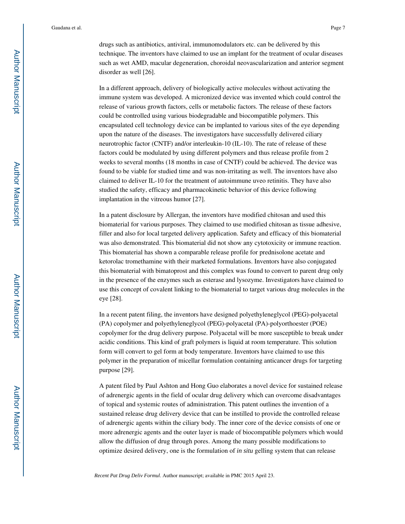drugs such as antibiotics, antiviral, immunomodulators etc. can be delivered by this technique. The inventors have claimed to use an implant for the treatment of ocular diseases such as wet AMD, macular degeneration, choroidal neovascularization and anterior segment disorder as well [26].

In a different approach, delivery of biologically active molecules without activating the immune system was developed. A micronized device was invented which could control the release of various growth factors, cells or metabolic factors. The release of these factors could be controlled using various biodegradable and biocompatible polymers. This encapsulated cell technology device can be implanted to various sites of the eye depending upon the nature of the diseases. The investigators have successfully delivered ciliary neurotrophic factor (CNTF) and/or interleukin-10 (IL-10). The rate of release of these factors could be modulated by using different polymers and thus release profile from 2 weeks to several months (18 months in case of CNTF) could be achieved. The device was found to be viable for studied time and was non-irritating as well. The inventors have also claimed to deliver IL-10 for the treatment of autoimmune uveo retinitis. They have also studied the safety, efficacy and pharmacokinetic behavior of this device following implantation in the vitreous humor [27].

In a patent disclosure by Allergan, the inventors have modified chitosan and used this biomaterial for various purposes. They claimed to use modified chitosan as tissue adhesive, filler and also for local targeted delivery application. Safety and efficacy of this biomaterial was also demonstrated. This biomaterial did not show any cytotoxicity or immune reaction. This biomaterial has shown a comparable release profile for prednisolone acetate and ketorolac tromethamine with their marketed formulations. Inventors have also conjugated this biomaterial with bimatoprost and this complex was found to convert to parent drug only in the presence of the enzymes such as esterase and lysozyme. Investigators have claimed to use this concept of covalent linking to the biomaterial to target various drug molecules in the eye [28].

In a recent patent filing, the inventors have designed polyethyleneglycol (PEG)-polyacetal (PA) copolymer and polyethyleneglycol (PEG)-polyacetal (PA)-polyorthoester (POE) copolymer for the drug delivery purpose. Polyacetal will be more susceptible to break under acidic conditions. This kind of graft polymers is liquid at room temperature. This solution form will convert to gel form at body temperature. Inventors have claimed to use this polymer in the preparation of micellar formulation containing anticancer drugs for targeting purpose [29].

A patent filed by Paul Ashton and Hong Guo elaborates a novel device for sustained release of adrenergic agents in the field of ocular drug delivery which can overcome disadvantages of topical and systemic routes of administration. This patent outlines the invention of a sustained release drug delivery device that can be instilled to provide the controlled release of adrenergic agents within the ciliary body. The inner core of the device consists of one or more adrenergic agents and the outer layer is made of biocompatible polymers which would allow the diffusion of drug through pores. Among the many possible modifications to optimize desired delivery, one is the formulation of *in situ* gelling system that can release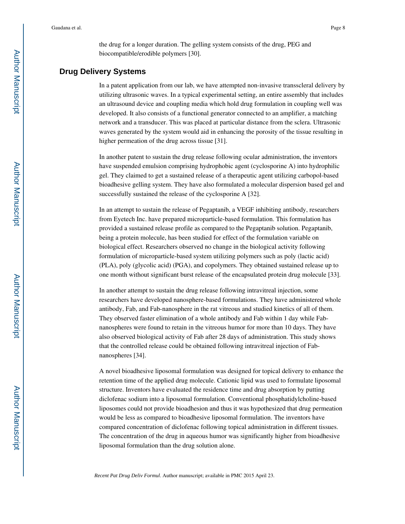the drug for a longer duration. The gelling system consists of the drug, PEG and biocompatible/erodible polymers [30].

#### **Drug Delivery Systems**

In a patent application from our lab, we have attempted non-invasive transscleral delivery by utilizing ultrasonic waves. In a typical experimental setting, an entire assembly that includes an ultrasound device and coupling media which hold drug formulation in coupling well was developed. It also consists of a functional generator connected to an amplifier, a matching network and a transducer. This was placed at particular distance from the sclera. Ultrasonic waves generated by the system would aid in enhancing the porosity of the tissue resulting in higher permeation of the drug across tissue [31].

In another patent to sustain the drug release following ocular administration, the inventors have suspended emulsion comprising hydrophobic agent (cyclosporine A) into hydrophilic gel. They claimed to get a sustained release of a therapeutic agent utilizing carbopol-based bioadhesive gelling system. They have also formulated a molecular dispersion based gel and successfully sustained the release of the cyclosporine A [32].

In an attempt to sustain the release of Pegaptanib, a VEGF inhibiting antibody, researchers from Eyetech Inc. have prepared microparticle-based formulation. This formulation has provided a sustained release profile as compared to the Pegaptanib solution. Pegaptanib, being a protein molecule, has been studied for effect of the formulation variable on biological effect. Researchers observed no change in the biological activity following formulation of microparticle-based system utilizing polymers such as poly (lactic acid) (PLA), poly (glycolic acid) (PGA), and copolymers. They obtained sustained release up to one month without significant burst release of the encapsulated protein drug molecule [33].

In another attempt to sustain the drug release following intravitreal injection, some researchers have developed nanosphere-based formulations. They have administered whole antibody, Fab, and Fab-nanosphere in the rat vitreous and studied kinetics of all of them. They observed faster elimination of a whole antibody and Fab within 1 day while Fabnanospheres were found to retain in the vitreous humor for more than 10 days. They have also observed biological activity of Fab after 28 days of administration. This study shows that the controlled release could be obtained following intravitreal injection of Fabnanospheres [34].

A novel bioadhesive liposomal formulation was designed for topical delivery to enhance the retention time of the applied drug molecule. Cationic lipid was used to formulate liposomal structure. Inventors have evaluated the residence time and drug absorption by putting diclofenac sodium into a liposomal formulation. Conventional phosphatidylcholine-based liposomes could not provide bioadhesion and thus it was hypothesized that drug permeation would be less as compared to bioadhesive liposomal formulation. The inventors have compared concentration of diclofenac following topical administration in different tissues. The concentration of the drug in aqueous humor was significantly higher from bioadhesive liposomal formulation than the drug solution alone.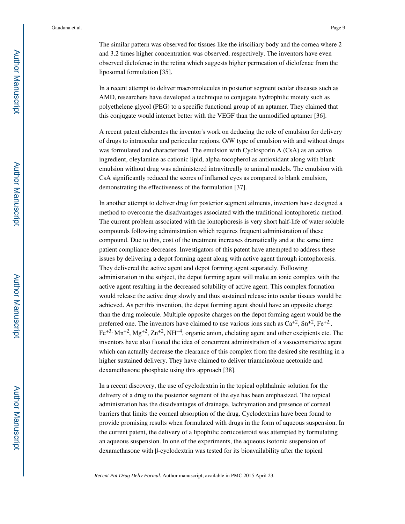The similar pattern was observed for tissues like the irisciliary body and the cornea where 2 and 3.2 times higher concentration was observed, respectively. The inventors have even observed diclofenac in the retina which suggests higher permeation of diclofenac from the liposomal formulation [35].

In a recent attempt to deliver macromolecules in posterior segment ocular diseases such as AMD, researchers have developed a technique to conjugate hydrophilic moiety such as polyethelene glycol (PEG) to a specific functional group of an aptamer. They claimed that this conjugate would interact better with the VEGF than the unmodified aptamer [36].

A recent patent elaborates the inventor's work on deducing the role of emulsion for delivery of drugs to intraocular and periocular regions. O/W type of emulsion with and without drugs was formulated and characterized. The emulsion with Cyclosporin A (CsA) as an active ingredient, oleylamine as cationic lipid, alpha-tocopherol as antioxidant along with blank emulsion without drug was administered intravitreally to animal models. The emulsion with CsA significantly reduced the scores of inflamed eyes as compared to blank emulsion, demonstrating the effectiveness of the formulation [37].

In another attempt to deliver drug for posterior segment ailments, inventors have designed a method to overcome the disadvantages associated with the traditional iontophoretic method. The current problem associated with the iontophoresis is very short half-life of water soluble compounds following administration which requires frequent administration of these compound. Due to this, cost of the treatment increases dramatically and at the same time patient compliance decreases. Investigators of this patent have attempted to address these issues by delivering a depot forming agent along with active agent through iontophoresis. They delivered the active agent and depot forming agent separately. Following administration in the subject, the depot forming agent will make an ionic complex with the active agent resulting in the decreased solubility of active agent. This complex formation would release the active drug slowly and thus sustained release into ocular tissues would be achieved. As per this invention, the depot forming agent should have an opposite charge than the drug molecule. Multiple opposite charges on the depot forming agent would be the preferred one. The inventors have claimed to use various ions such as  $Ca^{+2}$ ,  $Sn^{+2}$ ,  $Fe^{+2}$ ,  $Fe^{+3}$ ,  $Mn^{+2}$ ,  $Mg^{+2}$ ,  $Zn^{+2}$ , NH<sup>+4</sup>, organic anion, chelating agent and other excipients etc. The inventors have also floated the idea of concurrent administration of a vasoconstrictive agent which can actually decrease the clearance of this complex from the desired site resulting in a higher sustained delivery. They have claimed to deliver triamcinolone acetonide and dexamethasone phosphate using this approach [38].

In a recent discovery, the use of cyclodextrin in the topical ophthalmic solution for the delivery of a drug to the posterior segment of the eye has been emphasized. The topical administration has the disadvantages of drainage, lachrymation and presence of corneal barriers that limits the corneal absorption of the drug. Cyclodextrins have been found to provide promising results when formulated with drugs in the form of aqueous suspension. In the current patent, the delivery of a lipophilic corticosteroid was attempted by formulating an aqueous suspension. In one of the experiments, the aqueous isotonic suspension of dexamethasone with β-cyclodextrin was tested for its bioavailability after the topical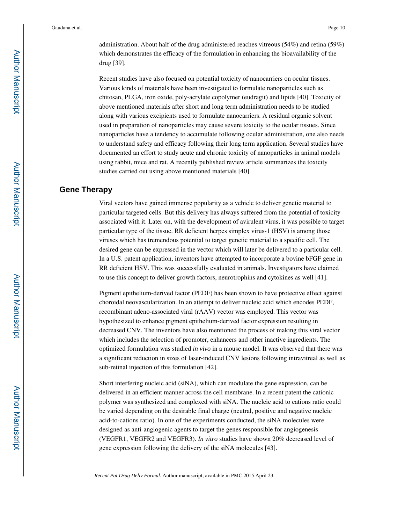administration. About half of the drug administered reaches vitreous (54%) and retina (59%) which demonstrates the efficacy of the formulation in enhancing the bioavailability of the drug [39].

Recent studies have also focused on potential toxicity of nanocarriers on ocular tissues. Various kinds of materials have been investigated to formulate nanoparticles such as chitosan, PLGA, iron oxide, poly-acrylate copolymer (eudragit) and lipids [40]. Toxicity of above mentioned materials after short and long term administration needs to be studied along with various excipients used to formulate nanocarriers. A residual organic solvent used in preparation of nanoparticles may cause severe toxicity to the ocular tissues. Since nanoparticles have a tendency to accumulate following ocular administration, one also needs to understand safety and efficacy following their long term application. Several studies have documented an effort to study acute and chronic toxicity of nanoparticles in animal models using rabbit, mice and rat. A recently published review article summarizes the toxicity studies carried out using above mentioned materials [40].

### **Gene Therapy**

Viral vectors have gained immense popularity as a vehicle to deliver genetic material to particular targeted cells. But this delivery has always suffered from the potential of toxicity associated with it. Later on, with the development of avirulent virus, it was possible to target particular type of the tissue. RR deficient herpes simplex virus-1 (HSV) is among those viruses which has tremendous potential to target genetic material to a specific cell. The desired gene can be expressed in the vector which will later be delivered to a particular cell. In a U.S. patent application, inventors have attempted to incorporate a bovine bFGF gene in RR deficient HSV. This was successfully evaluated in animals. Investigators have claimed to use this concept to deliver growth factors, neurotrophins and cytokines as well [41].

Pigment epithelium-derived factor (PEDF) has been shown to have protective effect against choroidal neovascularization. In an attempt to deliver nucleic acid which encodes PEDF, recombinant adeno-associated viral (rAAV) vector was employed. This vector was hypothesized to enhance pigment epithelium-derived factor expression resulting in decreased CNV. The inventors have also mentioned the process of making this viral vector which includes the selection of promoter, enhancers and other inactive ingredients. The optimized formulation was studied *in vivo* in a mouse model. It was observed that there was a significant reduction in sizes of laser-induced CNV lesions following intravitreal as well as sub-retinal injection of this formulation [42].

Short interfering nucleic acid (siNA), which can modulate the gene expression, can be delivered in an efficient manner across the cell membrane. In a recent patent the cationic polymer was synthesized and complexed with siNA. The nucleic acid to cations ratio could be varied depending on the desirable final charge (neutral, positive and negative nucleic acid-to-cations ratio). In one of the experiments conducted, the siNA molecules were designed as anti-angiogenic agents to target the genes responsible for angiogenesis (VEGFR1, VEGFR2 and VEGFR3). *In vitro* studies have shown 20% decreased level of gene expression following the delivery of the siNA molecules [43].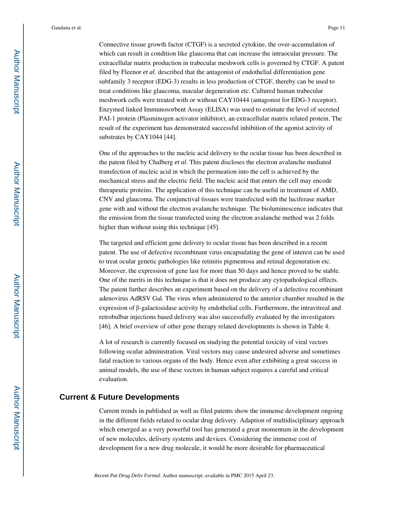Connective tissue growth factor (CTGF) is a secreted cytokine, the over-accumulation of which can result in condition like glaucoma that can increase the intraocular pressure. The extracellular matrix production in trabecular meshwork cells is governed by CTGF. A patent filed by Fleenor *et al*. described that the antagonist of endothelial differentiation gene subfamily 3 receptor (EDG-3) results in less production of CTGF, thereby can be used to treat conditions like glaucoma, macular degeneration etc. Cultured human trabecular meshwork cells were treated with or without CAY10444 (antagonist for EDG-3 receptor). Enzymed linked Immunosorbent Assay (ELISA) was used to estimate the level of secreted PAI-1 protein (Plasminogen activator inhibitor), an extracellular matrix related protein. The result of the experiment has demonstrated successful inhibition of the agonist activity of substrates by CAY1044 [44].

One of the approaches to the nucleic acid delivery to the ocular tissue has been described in the patent filed by Chalberg *et al*. This patent discloses the electron avalanche mediated transfection of nucleic acid in which the permeation into the cell is achieved by the mechanical stress and the electric field. The nucleic acid that enters the cell may encode therapeutic proteins. The application of this technique can be useful in treatment of AMD, CNV and glaucoma. The conjunctival tissues were transfected with the luciferase marker gene with and without the electron avalanche technique. The bioluminescence indicates that the emission from the tissue transfected using the electron avalanche method was 2 folds higher than without using this technique [45].

The targeted and efficient gene delivery to ocular tissue has been described in a recent patent. The use of defective recombinant virus encapsulating the gene of interest can be used to treat ocular genetic pathologies like retinitis pigmentosa and retinal degeneration etc. Moreover, the expression of gene last for more than 50 days and hence proved to be stable. One of the merits in this technique is that it does not produce any cytopathological effects. The patent further describes an experiment based on the delivery of a defective recombinant adenovirus AdRSV Gal. The virus when administered to the anterior chamber resulted in the expression of β-galactosidase activity by endothelial cells. Furthermore, the intravitreal and retrobulbar injections based delivery was also successfully evaluated by the investigators [46]. A brief overview of other gene therapy related developments is shown in Table 4.

A lot of research is currently focused on studying the potential toxicity of viral vectors following ocular administration. Viral vectors may cause undesired adverse and sometimes fatal reaction to various organs of the body. Hence even after exhibiting a great success in animal models, the use of these vectors in human subject requires a careful and critical evaluation.

#### **Current & Future Developments**

Current trends in published as well as filed patents show the immense development ongoing in the different fields related to ocular drug delivery. Adaption of multidisciplinary approach which emerged as a very powerful tool has generated a great momentum in the development of new molecules, delivery systems and devices. Considering the immense cost of development for a new drug molecule, it would be more desirable for pharmaceutical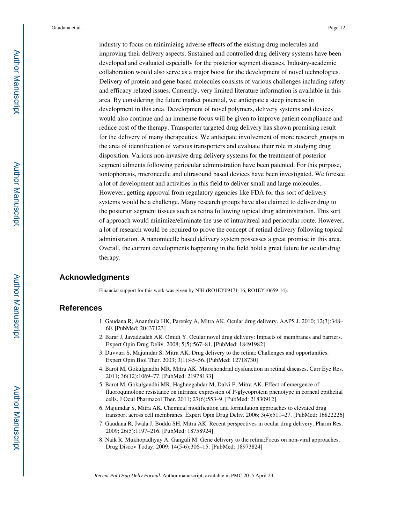industry to focus on minimizing adverse effects of the existing drug molecules and improving their delivery aspects. Sustained and controlled drug delivery systems have been developed and evaluated especially for the posterior segment diseases. Industry-academic collaboration would also serve as a major boost for the development of novel technologies. Delivery of protein and gene based molecules consists of various challenges including safety and efficacy related issues. Currently, very limited literature information is available in this area. By considering the future market potential, we anticipate a steep increase in development in this area. Development of novel polymers, delivery systems and devices would also continue and an immense focus will be given to improve patient compliance and reduce cost of the therapy. Transporter targeted drug delivery has shown promising result for the delivery of many therapeutics. We anticipate involvement of more research groups in the area of identification of various transporters and evaluate their role in studying drug disposition. Various non-invasive drug delivery systems for the treatment of posterior segment ailments following periocular administration have been patented. For this purpose, iontophoresis, microneedle and ultrasound based devices have been investigated. We foresee a lot of development and activities in this field to deliver small and large molecules. However, getting approval from regulatory agencies like FDA for this sort of delivery systems would be a challenge. Many research groups have also claimed to deliver drug to the posterior segment tissues such as retina following topical drug administration. This sort of approach would minimize/eliminate the use of intravitreal and periocular route. However, a lot of research would be required to prove the concept of retinal delivery following topical administration. A nanomicelle based delivery system possesses a great promise in this area. Overall, the current developments happening in the field hold a great future for ocular drug therapy.

#### **Acknowledgments**

Financial support for this work was given by NIH (RO1EY09171-16, RO1EY10659-14).

#### **References**

- 1. Gaudana R, Ananthula HK, Parenky A, Mitra AK. Ocular drug delivery. AAPS J. 2010; 12(3):348– 60. [PubMed: 20437123]
- 2. Barar J, Javadzadeh AR, Omidi Y. Ocular novel drug delivery: Impacts of membranes and barriers. Expert Opin Drug Deliv. 2008; 5(5):567–81. [PubMed: 18491982]
- 3. Duvvuri S, Majumdar S, Mitra AK. Drug delivery to the retina: Challenges and opportunities. Expert Opin Biol Ther. 2003; 3(1):45–56. [PubMed: 12718730]
- 4. Barot M, Gokulgandhi MR, Mitra AK. Mitochondrial dysfunction in retinal diseases. Curr Eye Res. 2011; 36(12):1069–77. [PubMed: 21978133]
- 5. Barot M, Gokulgandhi MR, Haghnegahdar M, Dalvi P, Mitra AK. Effect of emergence of fluoroquinolone resistance on intrinsic expression of P-glycoprotein phenotype in corneal epithelial cells. J Ocul Pharmacol Ther. 2011; 27(6):553–9. [PubMed: 21830912]
- 6. Majumdar S, Mitra AK. Chemical modification and formulation approaches to elevated drug transport across cell membranes. Expert Opin Drug Deliv. 2006; 3(4):511–27. [PubMed: 16822226]
- 7. Gaudana R, Jwala J, Boddu SH, Mitra AK. Recent perspectives in ocular drug delivery. Pharm Res. 2009; 26(5):1197–216. [PubMed: 18758924]
- 8. Naik R, Mukhopadhyay A, Ganguli M. Gene delivery to the retina:Focus on non-viral approaches. Drug Discov Today. 2009; 14(5-6):306–15. [PubMed: 18973824]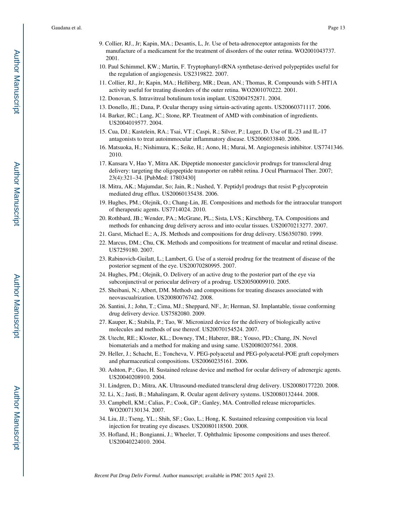- 9. Collier, RJ., Jr; Kapin, MA.; Desantis, L, Jr. Use of beta-adrenoceptor antagonists for the manufacture of a medicament for the treatment of disorders of the outer retina. WO2001043737. 2001.
- 10. Paul Schimmel, KW.; Martin, F. Tryptophanyl-tRNA synthetase-derived polypeptides useful for the regulation of angiogenesis. US2319822. 2007.
- 11. Collier, RJ., Jr; Kapin, MA.; Helliberg, MR.; Dean, AN.; Thomas, R. Compounds with 5-HT1A activity useful for treating disorders of the outer retina. WO2001070222. 2001.
- 12. Donovan, S. Intravitreal botulinum toxin implant. US2004752871. 2004.
- 13. Donello, JE.; Dana, P. Ocular therapy using sirtuin-activating agents. US20060371117. 2006.
- 14. Barker, RC.; Lang, JC.; Stone, RP. Treatment of AMD with combination of ingredients. US2004019577. 2004.
- 15. Cua, DJ.; Kastelein, RA.; Tsai, VT.; Caspi, R.; Silver, P.; Luger, D. Use of IL-23 and IL-17 antagonists to treat autoimmocular inflammatory disease. US2006033840. 2006.
- 16. Matsuoka, H.; Nishimura, K.; Seike, H.; Aono, H.; Murai, M. Angiogenesis inhibitor. US7741346. 2010.
- 17. Kansara V, Hao Y, Mitra AK. Dipeptide monoester ganciclovir prodrugs for transscleral drug delivery: targeting the oligopeptide transporter on rabbit retina. J Ocul Pharmacol Ther. 2007; 23(4):321–34. [PubMed: 17803430]
- 18. Mitra, AK.; Majumdar, So; Jain, R.; Nashed, Y. Peptidyl prodrugs that resist P-glycoprotein mediated drug efflux. US20060135438. 2006.
- 19. Hughes, PM.; Olejnik, O.; Chang-Lin, JE. Compositions and methods for the intraocular transport of therapeutic agents. US7714024. 2010.
- 20. Rothbard, JB.; Wender, PA.; McGrane, PL.; Sista, LVS.; Kirschberg, TA. Compositions and methods for enhancing drug delivery across and into ocular tissues. US20070213277. 2007.
- 21. Garst, Michael E.; A, JS. Methods and compositions for drug delivery. US6350780. 1999.
- 22. Marcus, DM.; Chu, CK. Methods and compositions for treatment of macular and retinal disease. US7259180. 2007.
- 23. Rabinovich-Guilatt, L.; Lambert, G. Use of a steroid prodrug for the treatment of disease of the posterior segment of the eye. US20070280995. 2007.
- 24. Hughes, PM.; Olejnik, O. Delivery of an active drug to the posterior part of the eye via subconjunctival or periocular delivery of a prodrug. US20050009910. 2005.
- 25. Sheibani, N.; Albert, DM. Methods and compositions for treating diseases associated with neovascualrization. US20080076742. 2008.
- 26. Santini, J.; John, T.; Cima, MJ.; Sheppard, NF., Jr; Herman, SJ. Implantable, tissue conforming drug delivery device. US7582080. 2009.
- 27. Kauper, K.; Stabila, P.; Tao, W. Micronized device for the delivery of biologically active molecules and methods of use thereof. US20070154524. 2007.
- 28. Utecht, RE.; Kloster, KL.; Downey, TM.; Haberer, BR.; Youso, PD.; Chang, JN. Novel biomaterials and a method for making and using same. US20080207561. 2008.
- 29. Heller, J.; Schacht, E.; Toncheva, V. PEG-polyacetal and PEG-polyacetal-POE graft copolymers and pharmaceutical compositions. US20060235161. 2006.
- 30. Ashton, P.; Guo, H. Sustained release device and method for ocular delivery of adrenergic agents. US20040208910. 2004.
- 31. Lindgren, D.; Mitra, AK. Ultrasound-mediated transcleral drug delivery. US20080177220. 2008.
- 32. Li, X.; Jasti, B.; Mahalingam, R. Ocular agent delivery systems. US20080132444. 2008.
- 33. Campbell, KM.; Calias, P.; Cook, GP.; Ganley, MA. Controlled release microparticles. WO2007130134. 2007.
- 34. Liu, JJ.; Tseng, YL.; Shih, SF.; Guo, L.; Hong, K. Sustained releasing composition via local injection for treating eye diseases. US20080118500. 2008.
- 35. Hofland, H.; Bongianni, J.; Wheeler, T. Ophthalmic liposome compositions and uses thereof. US20040224010. 2004.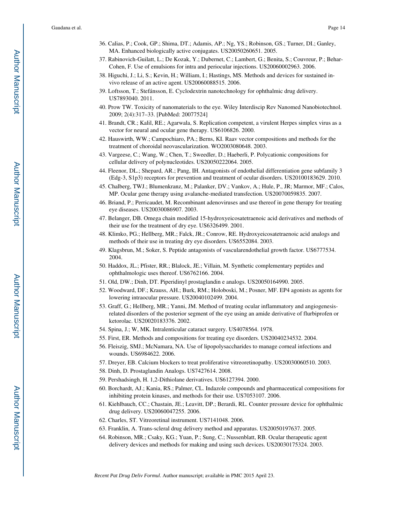- 36. Calias, P.; Cook, GP.; Shima, DT.; Adamis, AP.; Ng, YS.; Robinson, GS.; Turner, DI.; Ganley, MA. Enhanced biologically active conjugates. US20050260651. 2005.
- 37. Rabinovich-Guilatt, L.; De Kozak, Y.; Dubernet, C.; Lambert, G.; Benita, S.; Couvreur, P.; Behar-Cohen, F. Use of emulsions for intra and periocular injections. US20060002963. 2006.
- 38. Higuchi, J.; Li, S.; Kevin, H.; William, I.; Hastings, MS. Methods and devices for sustained invivo release of an active agent. US20060088515. 2006.
- 39. Loftsson, T.; Stefánsson, E. Cyclodextrin nanotechnology for ophthalmic drug delivery. US7893040. 2011.
- 40. Prow TW. Toxicity of nanomaterials to the eye. Wiley Interdiscip Rev Nanomed Nanobiotechnol. 2009; 2(4):317–33. [PubMed: 20077524]
- 41. Brandt, CR.; Kalil, RE.; Agarwala, S. Replication competent, a virulent Herpes simplex virus as a vector for neural and ocular gene therapy. US6106826. 2000.
- 42. Hauswirth, WW.; Campochiaro, PA.; Berns, KI. Raav vector compositions and methods for the treatment of choroidal neovascularization. WO2003080648. 2003.
- 43. Vargeese, C.; Wang, W.; Chen, T.; Sweedler, D.; Haeberli, P. Polycationic compositions for cellular delivery of polynucleotides. US20050222064. 2005.
- 44. Fleenor, DL.; Shepard, AR.; Pang, IH. Antagonists of endothelial differentiation gene subfamily 3 (Edg-3, S1p3) receptors for prevention and treatment of ocular disorders. US20100183629. 2010.
- 45. Chalberg, TWJ.; Blumenkranz, M.; Palanker, DV.; Vankov, A.; Hule, P., JR; Marmor, MF.; Calos, MP. Ocular gene therapy using avalanche-mediated transfection. US20070059835. 2007.
- 46. Briand, P.; Perricaudet, M. Recombinant adenoviruses and use thereof in gene therapy for treating eye diseases. US20030086907. 2003.
- 47. Belanger, DB. Omega chain modified 15-hydroxyeicosatetraenoic acid derivatives and methods of their use for the treatment of dry eye. US6326499. 2001.
- 48. Klimko, PG.; Hellberg, MR.; Falck, JR.; Conrow, RE. Hydroxyeicosatetraenoic acid analogs and methods of their use in treating dry eye disorders. US6552084. 2003.
- 49. Klagsbrun, M.; Soker, S. Peptide antagonists of vascularendothelial growth factor. US6777534. 2004.
- 50. Haddox, JL.; Pfister, RR.; Blalock, JE.; Villain, M. Synthetic complementary peptides and ophthalmologic uses thereof. US6762166. 2004.
- 51. Old, DW.; Dinh, DT. Piperidinyl prostaglandin e analogs. US20050164990. 2005.
- 52. Woodward, DF.; Krauss, AH.; Burk, RM.; Holoboski, M.; Posner, MF. EP4 agonists as agents for lowering intraocular pressure. US20040102499. 2004.
- 53. Graff, G.; Hellberg, MR.; Yanni, JM. Method of treating ocular inflammatory and angiogenesisrelated disorders of the posterior segment of the eye using an amide derivative of flurbiprofen or ketorolac. US20020183376. 2002.
- 54. Spina, J.; W, MK. Intralenticular cataract surgery. US4078564. 1978.
- 55. First, ER. Methods and compositions for treating eye disorders. US20040234532. 2004.
- 56. Fleiszig, SMJ.; McNamara, NA. Use of lipopolysaccharides to manage corneal infections and wounds. US6984622. 2006.
- 57. Dreyer, EB. Calcium blockers to treat proliferative vitreoretinopathy. US20030060510. 2003.
- 58. Dinh, D. Prostaglandin Analogs. US7427614. 2008.
- 59. Pershadsingh, H. 1,2-Dithiolane derivatives. US6127394. 2000.
- 60. Borchardt, AJ.; Kania, RS.; Palmer, CL. Indazole compounds and pharmaceutical compositions for inhibiting protein kinases, and methods for their use. US7053107. 2006.
- 61. Kiehlbauch, CC.; Chastain, JE.; Leavitt, DP.; Berardi, RL. Counter pressure device for ophthalmic drug delivery. US20060047255. 2006.
- 62. Charles, ST. Vitreoretinal instrument. US7141048. 2006.
- 63. Franklin, A. Trans-scleral drug delivery method and apparatus. US20050197637. 2005.
- 64. Robinson, MR.; Csaky, KG.; Yuan, P.; Sung, C.; Nussenblatt, RB. Ocular therapeutic agent delivery devices and methods for making and using such devices. US20030175324. 2003.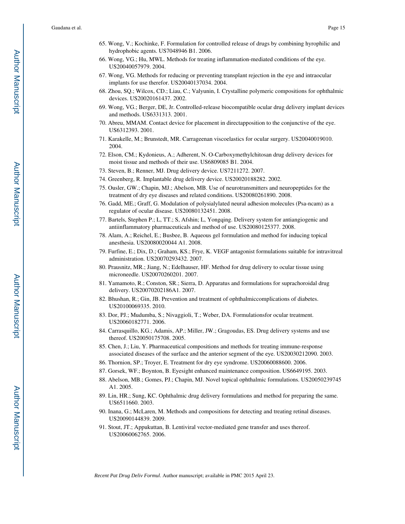- 65. Wong, V.; Kochinke, F. Formulation for controlled release of drugs by combining hyrophilic and hydrophobic agents. US7048946 B1. 2006.
- 66. Wong, VG.; Hu, MWL. Methods for treating inflammation-mediated conditions of the eye. US20040057979. 2004.
- 67. Wong, VG. Methods for reducing or preventing transplant rejection in the eye and intraocular implants for use therefor. US20040137034. 2004.
- 68. Zhou, SQ.; Wilcox, CD.; Liau, C.; Valyunin, I. Crystalline polymeric compositions for ophthalmic devices. US20020161437. 2002.
- 69. Wong, VG.; Berger, DE, Jr. Controlled-release biocompatible ocular drug delivery implant devices and methods. US6331313. 2001.
- 70. Abreu, MMAM. Contact device for placement in directapposition to the conjunctive of the eye. US6312393. 2001.
- 71. Karakelle, M.; Brunstedt, MR. Carrageenan viscoelastics for ocular surgery. US20040019010. 2004.
- 72. Elson, CM.; Kydonieus, A.; Adherent, N. O-Carboxymethylchitosan drug delivery devices for moist tissue and methods of their use. US6809085 B1. 2004.
- 73. Steven, B.; Renner, MJ. Drug delivery device. US7211272. 2007.
- 74. Greenberg, R. Implantable drug delivery device. US20020188282. 2002.
- 75. Ousler, GW.; Chapin, MJ.; Abelson, MB. Use of neurotransmitters and neuropeptides for the treatment of dry eye diseases and related conditions. US20080261890. 2008.
- 76. Gadd, ME.; Graff, G. Modulation of polysialylated neural adhesion molecules (Psa-ncam) as a regulator of ocular disease. US20080132451. 2008.
- 77. Bartels, Stephen P.; L, TT.; S, Afshin; L, Yongqing. Delivery system for antiangiogenic and antiinflammatory pharmaceuticals and method of use. US20080125377. 2008.
- 78. Alam, A.; Reichel, E.; Busbee, B. Aqueous gel formulation and method for inducing topical anesthesia. US20080020044 A1. 2008.
- 79. Furfine, E.; Dix, D.; Graham, KS.; Frye, K. VEGF antagonist formulations suitable for intravitreal administration. US20070293432. 2007.
- 80. Prausnitz, MR.; Jiang, N.; Edelhauser, HF. Method for drug delivery to ocular tissue using microneedle. US20070260201. 2007.
- 81. Yamamoto, R.; Conston, SR.; Sierra, D. Apparatus and formulations for suprachoroidal drug delivery. US20070202186A1. 2007.
- 82. Bhushan, R.; Gin, JB. Prevention and treatment of ophthalmiccomplications of diabetes. US20100069335. 2010.
- 83. Dor, PJ.; Mudumba, S.; Nivaggioli, T.; Weber, DA. Formulationsfor ocular treatment. US20060182771. 2006.
- 84. Carrasquillo, KG.; Adamis, AP.; Miller, JW.; Gragoudas, ES. Drug delivery systems and use thereof. US20050175708. 2005.
- 85. Chen, J.; Liu, Y. Pharmaceutical compositions and methods for treating immune-response associated diseases of the surface and the anterior segment of the eye. US20030212090. 2003.
- 86. Thornion, SP.; Troyer, E. Treatment for dry eye syndrome. US20060088600. 2006.
- 87. Gorsek, WF.; Boynton, B. Eyesight enhanced maintenance composition. US6649195. 2003.
- 88. Abelson, MB.; Gomes, PJ.; Chapin, MJ. Novel topical ophthalmic formulations. US20050239745 A1. 2005.
- 89. Lin, HR.; Sung, KC. Ophthalmic drug delivery formulations and method for preparing the same. US6511660. 2003.
- 90. Inana, G.; McLaren, M. Methods and compositions for detecting and treating retinal diseases. US20090144839. 2009.
- 91. Stout, JT.; Appukuttan, B. Lentiviral vector-mediated gene transfer and uses thereof. US20060062765. 2006.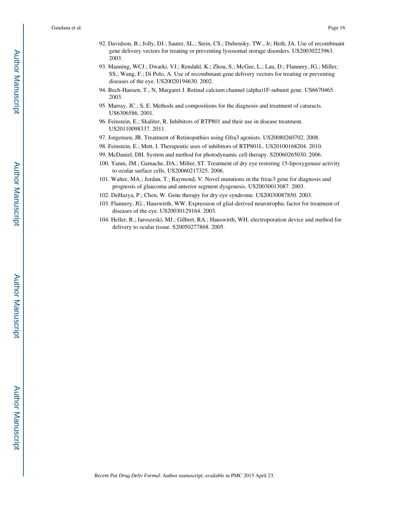- 92. Davidson, B.; Jolly, DJ.; Sauter, SL.; Stein, CS.; Dubensky, TW., Jr; Heth, JA. Use of recombinant gene delivery vectors for treating or preventing lysosomal storage disorders. US20030223963. 2003.
- 93. Manning, WCJ.; Dwarki, VJ.; Rendahl, K.; Zhou, S.; McGee, L.; Lau, D.; Flannery, JG.; Miller, SS.; Wang, F.; Di Polo, A. Use of recombinant gene delivery vectors for treating or preventing diseases of the eye. US20020194630. 2002.
- 94. Bech-Hansen, T.; N, Margaret J. Retinal calcium channel (alpha)1F-subunit gene. US6670465. 2003.
- 95. Murray, JC.; S, E. Methods and compositions for the diagnosis and treatment of cataracts. US6306586. 2001.
- 96. Feinstein, E.; Skaliter, R. Inhibitors of RTP801 and their use in disease treatment. US20110098337. 2011.
- 97. Jorgensen, JR. Treatment of Retinopathies using Gfra3 agonists. US20080260702. 2008.
- 98. Feinstein, E.; Mett, I. Therapeutic uses of inhibitors of RTP801L. US20100168204. 2010.
- 99. McDaniel, DH. System and method for photodynamic cell therapy. S20060265030. 2006.
- 100. Yanni, JM.; Gamache, DA.; Miller, ST. Treatment of dry eye restoring 15-lipoxygenase activity to ocular surface cells. US20060217325. 2006.
- 101. Walter, MA.; Jordan, T.; Raymond, V. Novel mutations in the freac3 gene for diagnosis and prognosis of glaucoma and anterior segment dysgenesis. US20030013087. 2003.
- 102. DeHazya, P.; Chen, W. Gene therapy for dry eye syndrome. US20030087850. 2003.
- 103. Flannery, JG.; Hauswirth, WW. Expression of glial-derived neurotrophic factor for treatment of diseases of the eye. US20030129164. 2003.
- 104. Heller, R.; Jaroszeski, MJ.; Gilbert, RA.; Hauswirth, WH. electroporation device and method for delivery to ocular tissue. S20050277868. 2005.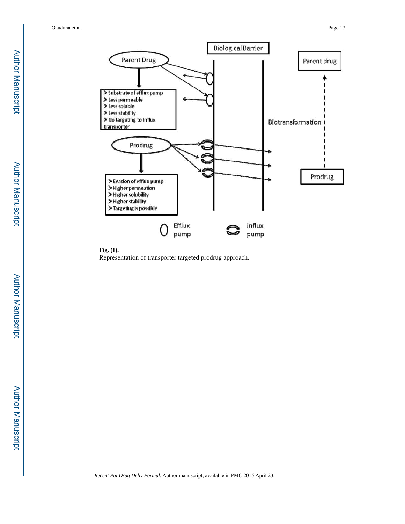

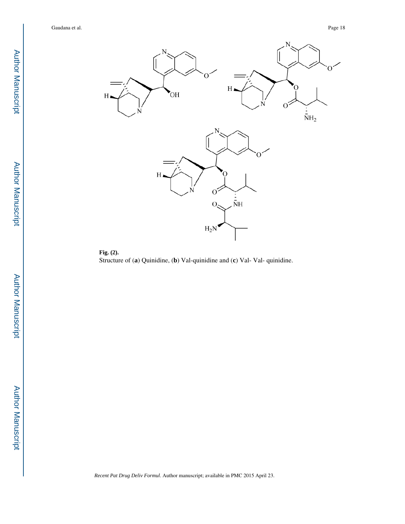

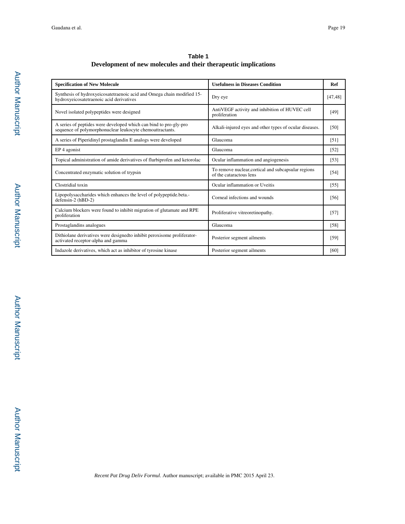**Table 1 Development of new molecules and their therapeutic implications**

| <b>Specification of New Molecule</b>                                                                                           | <b>Usefulness in Diseases Condition</b>                                        | Ref      |
|--------------------------------------------------------------------------------------------------------------------------------|--------------------------------------------------------------------------------|----------|
| Synthesis of hydroxyeicosatetraenoic acid and Omega chain modified 15-<br>hydroxyeicosatetraenoic acid derivatives             | Dry eye                                                                        | [47, 48] |
| Novel isolated polypeptides were designed                                                                                      | AntiVEGF activity and inhibition of HUVEC cell<br>proliferation                | [49]     |
| A series of peptides were developed which can bind to pro-gly-pro<br>sequence of polymorphonuclear leukocyte chemoattractants. | Alkali-injured eyes and other types of ocular diseases.                        | [50]     |
| A series of Piperidinyl prostaglandin E analogs were developed                                                                 | Glaucoma                                                                       | [51]     |
| EP 4 agonist                                                                                                                   | Glaucoma                                                                       | $[52]$   |
| Topical administration of amide derivatives of flurbiprofen and ketorolac                                                      | Ocular inflammation and angiogenesis                                           | [53]     |
| Concentrated enzymatic solution of trypsin                                                                                     | To remove nuclear, cortical and subcapsular regions<br>of the cataractous lens | [54]     |
| Clostridial toxin                                                                                                              | Ocular inflammation or Uveitis                                                 | [55]     |
| Lipopolysaccharides which enhances the level of polypeptide.beta.<br>defensin-2 (hBD-2)                                        | Corneal infections and wounds                                                  | [56]     |
| Calcium blockers were found to inhibit migration of glutamate and RPE<br>proliferation                                         | Proliferative vitreoretinopathy.                                               | [57]     |
| Prostaglandins analogues                                                                                                       | Glaucoma                                                                       | [58]     |
| Dithiolane derivatives were designed to inhibit peroxisome proliferator-<br>activated receptor-alpha and gamma                 | Posterior segment ailments                                                     | [59]     |
| Indazole derivatives, which act as inhibitor of tyrosine kinase                                                                | Posterior segment ailments                                                     | [60]     |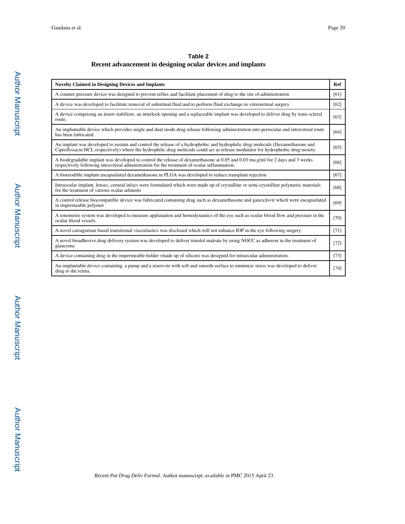| Table 2                                                     |  |
|-------------------------------------------------------------|--|
| Recent advancement in designing ocular devices and implants |  |

| <b>Novelty Claimed in Designing Devices and Implants</b>                                                                                                                                                                                                         | Ref    |
|------------------------------------------------------------------------------------------------------------------------------------------------------------------------------------------------------------------------------------------------------------------|--------|
| A counter pressure device was designed to prevent reflux and facilitate placement of drug to the site of administration                                                                                                                                          | [61]   |
| A device was developed to facilitate removal of subretinal fluid and to perform fluid exchange in vitreoretinal surgery                                                                                                                                          | [62]   |
| A device comprising an insert stabilizer, an interlock opening and a replaceable implant was developed to deliver drug by trans-scleral<br>route.                                                                                                                | [63]   |
| An implantable device which provides single and dual mode drug release following administration into periocular and intravitreal route<br>has been fabricated.                                                                                                   | [64]   |
| An implant was developed to sustain and control the release of a hydrophobic and hydrophilic drug molecule (Dexamethasone and<br>Ciprofloxacin HCL respectively) where the hydrophilic drug molecule could act as release modulator for hydrophobic drug moiety. | [65]   |
| A biodegradable implant was developed to control the release of dexamethasone at 0.05 and 0.03 mu.g/ml for 2 days and 3 weeks<br>respectively following intravitreal administration for the treatment of ocular inflammation.                                    | [66]   |
| A bioerodible implant encapsulated dexamethasone in PLGA was developed to reduce transplant rejection                                                                                                                                                            | [67]   |
| Intraocular implant, lenses, corneal inlays were formulated which were made up of crystalline or semi-crystalline polymeric materials<br>for the treatment of various ocular ailments                                                                            | [68]   |
| A control release biocompatible device was fabricated containing drug such as dexamethasone and ganciclovir which were encapsulated<br>in impermeable polymer                                                                                                    | [69]   |
| A tonometer system was developed to measure applanation and hemodynamics of the eye such as ocular blood flow and pressure in the<br>ocular blood vessels.                                                                                                       | [70]   |
| A novel carrageenan based transitional viscoelastics was disclosed which will not enhance IOP in the eye following surgery                                                                                                                                       | $[71]$ |
| A novel bioadhesive drug delivery system was developed to deliver timolol maleate by using NOCC as adherent in the treatment of<br>glaucoma                                                                                                                      | $[72]$ |
| A device containing drug in the impermeable holder (made up of silicon) was designed for intraocular administration.                                                                                                                                             | $[73]$ |
| An implantable device containing, a pump and a reservoir with soft and smooth surface to minimize stress was developed to deliver<br>drug to the retina.                                                                                                         | [74]   |

Author Manuscript

Author Manuscript

Author Manuscript

Author Manuscript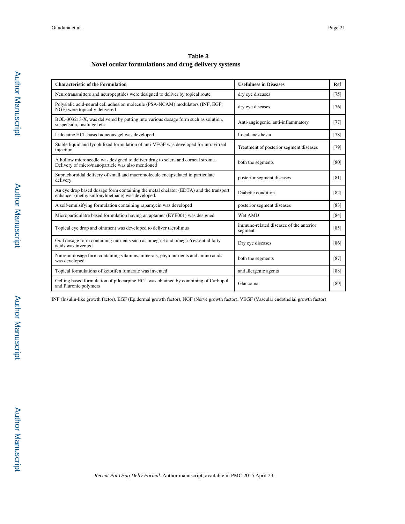|                                                     | Table 3 |  |
|-----------------------------------------------------|---------|--|
| Novel ocular formulations and drug delivery systems |         |  |

| <b>Characteristic of the Formulation</b>                                                                                                | <b>Usefulness in Diseases</b>                      | Ref    |
|-----------------------------------------------------------------------------------------------------------------------------------------|----------------------------------------------------|--------|
| Neurotransmitters and neuropeptides were designed to deliver by topical route                                                           | dry eye diseases                                   | $[75]$ |
| Polysialic acid-neural cell adhesion molecule (PSA-NCAM) modulators (INF, EGF,<br>NGF) were topically delivered                         | dry eye diseases                                   | $[76]$ |
| BOL-303213-X, was delivered by putting into various dosage form such as solution,<br>suspension, insitu gel etc                         | Anti-angiogenic, anti-inflammatory                 | [77]   |
| Lidocaine HCL based aqueous gel was developed                                                                                           | Local anesthesia                                   | $[78]$ |
| Stable liquid and lyophilized formulation of anti-VEGF was developed for intravitreal<br>injection                                      | Treatment of posterior segment diseases            | $[79]$ |
| A hollow microneedle was designed to deliver drug to sclera and corneal stroma.<br>Delivery of micro/nanoparticle was also mentioned    | both the segments                                  | [80]   |
| Suprachoroidal delivery of small and macromolecule encapsulated in particulate<br>delivery                                              | posterior segment diseases                         | [81]   |
| An eye drop based dosage form containing the metal chelator (EDTA) and the transport<br>enhancer (methylsulfonylmethane) was developed. | Diabetic condition                                 | $[82]$ |
| A self-emulsifying formulation containing rapamycin was developed                                                                       | posterior segment diseases                         | [83]   |
| Microparticulatre based formulation having an aptamer (EYE001) was designed                                                             | Wet AMD                                            | [84]   |
| Topical eye drop and ointment was developed to deliver tacrolimus                                                                       | immune-related diseases of the anterior<br>segment | [85]   |
| Oral dosage form containing nutrients such as omega-3 and omega-6 essential fatty<br>acids was invented                                 | Dry eye diseases                                   | [86]   |
| Nutreint dosage form containing vitamins, minerals, phytonutrients and amino acids<br>was developed                                     | both the segments                                  | $[87]$ |
| Topical formulations of ketotifen fumarate was invented                                                                                 | antiallergenic agents                              | [88]   |
| Gelling based formulation of pilocarpine HCL was obtained by combining of Carbopol<br>and Pluronic polymers                             | Glaucoma                                           | [89]   |

INF (Insulin-like growth factor), EGF (Epidermal growth factor), NGF (Nerve growth factor), VEGF (Vascular endothelial growth factor)